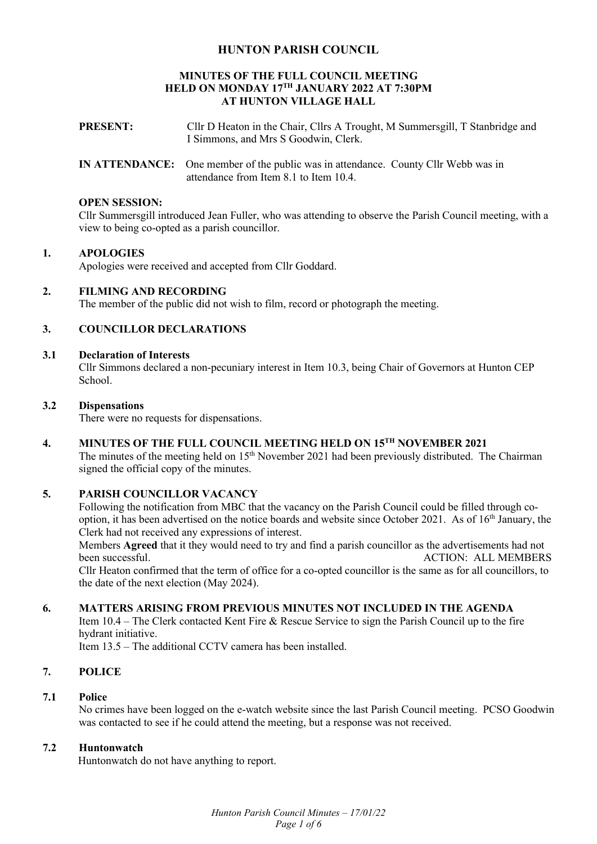# **HUNTON PARISH COUNCIL**

#### **MINUTES OF THE FULL COUNCIL MEETING HELD ON MONDAY 17TH JANUARY 2022 AT 7:30PM AT HUNTON VILLAGE HALL**

- **PRESENT:** Cllr D Heaton in the Chair, Cllrs A Trought, M Summersgill, T Stanbridge and I Simmons, and Mrs S Goodwin, Clerk.
- **IN ATTENDANCE:** One member of the public was in attendance. County Cllr Webb was in attendance from Item 8.1 to Item 10.4.

#### **OPEN SESSION:**

Cllr Summersgill introduced Jean Fuller, who was attending to observe the Parish Council meeting, with a view to being co-opted as a parish councillor.

#### **1. APOLOGIES**

Apologies were received and accepted from Cllr Goddard.

#### **2. FILMING AND RECORDING**

The member of the public did not wish to film, record or photograph the meeting.

### **3. COUNCILLOR DECLARATIONS**

#### **3.1 Declaration of Interests**

Cllr Simmons declared a non-pecuniary interest in Item 10.3, being Chair of Governors at Hunton CEP School.

#### **3.2 Dispensations**

There were no requests for dispensations.

# **4. MINUTES OF THE FULL COUNCIL MEETING HELD ON 15TH NOVEMBER 2021**

The minutes of the meeting held on 15<sup>th</sup> November 2021 had been previously distributed. The Chairman signed the official copy of the minutes.

#### **5. PARISH COUNCILLOR VACANCY**

Following the notification from MBC that the vacancy on the Parish Council could be filled through cooption, it has been advertised on the notice boards and website since October 2021. As of 16<sup>th</sup> January, the Clerk had not received any expressions of interest.

Members **Agreed** that it they would need to try and find a parish councillor as the advertisements had not been successful. The successful state of the state of the state of the state of the ACTION: ALL MEMBERS

Cllr Heaton confirmed that the term of office for a co-opted councillor is the same as for all councillors, to the date of the next election (May 2024).

#### **6. MATTERS ARISING FROM PREVIOUS MINUTES NOT INCLUDED IN THE AGENDA**

Item 10.4 – The Clerk contacted Kent Fire & Rescue Service to sign the Parish Council up to the fire hydrant initiative.

Item 13.5 – The additional CCTV camera has been installed.

# **7. POLICE**

# **7.1 Police**

No crimes have been logged on the e-watch website since the last Parish Council meeting. PCSO Goodwin was contacted to see if he could attend the meeting, but a response was not received.

### **7.2 Huntonwatch**

Huntonwatch do not have anything to report.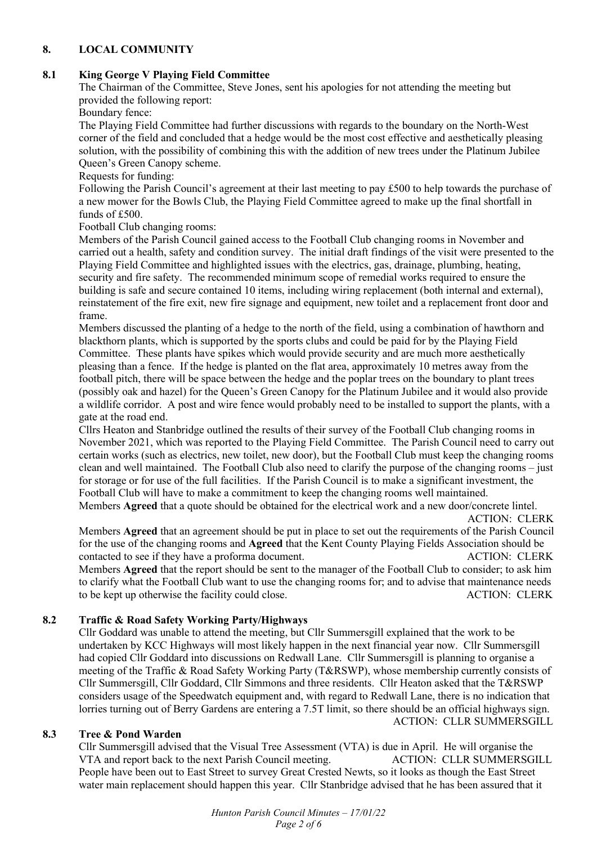# **8. LOCAL COMMUNITY**

# **8.1 King George V Playing Field Committee**

The Chairman of the Committee, Steve Jones, sent his apologies for not attending the meeting but provided the following report:

Boundary fence:

The Playing Field Committee had further discussions with regards to the boundary on the North-West corner of the field and concluded that a hedge would be the most cost effective and aesthetically pleasing solution, with the possibility of combining this with the addition of new trees under the Platinum Jubilee Queen's Green Canopy scheme.

Requests for funding:

Following the Parish Council's agreement at their last meeting to pay £500 to help towards the purchase of a new mower for the Bowls Club, the Playing Field Committee agreed to make up the final shortfall in funds of £500.

Football Club changing rooms:

Members of the Parish Council gained access to the Football Club changing rooms in November and carried out a health, safety and condition survey. The initial draft findings of the visit were presented to the Playing Field Committee and highlighted issues with the electrics, gas, drainage, plumbing, heating, security and fire safety. The recommended minimum scope of remedial works required to ensure the building is safe and secure contained 10 items, including wiring replacement (both internal and external), reinstatement of the fire exit, new fire signage and equipment, new toilet and a replacement front door and frame.

Members discussed the planting of a hedge to the north of the field, using a combination of hawthorn and blackthorn plants, which is supported by the sports clubs and could be paid for by the Playing Field Committee. These plants have spikes which would provide security and are much more aesthetically pleasing than a fence. If the hedge is planted on the flat area, approximately 10 metres away from the football pitch, there will be space between the hedge and the poplar trees on the boundary to plant trees (possibly oak and hazel) for the Queen's Green Canopy for the Platinum Jubilee and it would also provide a wildlife corridor. A post and wire fence would probably need to be installed to support the plants, with a gate at the road end.

Cllrs Heaton and Stanbridge outlined the results of their survey of the Football Club changing rooms in November 2021, which was reported to the Playing Field Committee. The Parish Council need to carry out certain works (such as electrics, new toilet, new door), but the Football Club must keep the changing rooms clean and well maintained. The Football Club also need to clarify the purpose of the changing rooms – just for storage or for use of the full facilities. If the Parish Council is to make a significant investment, the Football Club will have to make a commitment to keep the changing rooms well maintained.

Members **Agreed** that a quote should be obtained for the electrical work and a new door/concrete lintel. ACTION: CLERK

Members **Agreed** that an agreement should be put in place to set out the requirements of the Parish Council for the use of the changing rooms and **Agreed** that the Kent County Playing Fields Association should be contacted to see if they have a proforma document. ACTION: CLERK Members **Agreed** that the report should be sent to the manager of the Football Club to consider; to ask him to clarify what the Football Club want to use the changing rooms for; and to advise that maintenance needs to be kept up otherwise the facility could close. ACTION: CLERK

# **8.2 Traffic & Road Safety Working Party/Highways**

Cllr Goddard was unable to attend the meeting, but Cllr Summersgill explained that the work to be undertaken by KCC Highways will most likely happen in the next financial year now. Cllr Summersgill had copied Cllr Goddard into discussions on Redwall Lane. Cllr Summersgill is planning to organise a meeting of the Traffic & Road Safety Working Party (T&RSWP), whose membership currently consists of Cllr Summersgill, Cllr Goddard, Cllr Simmons and three residents. Cllr Heaton asked that the T&RSWP considers usage of the Speedwatch equipment and, with regard to Redwall Lane, there is no indication that lorries turning out of Berry Gardens are entering a 7.5T limit, so there should be an official highways sign. ACTION: CLLR SUMMERSGILL

# **8.3 Tree & Pond Warden**

Cllr Summersgill advised that the Visual Tree Assessment (VTA) is due in April. He will organise the VTA and report back to the next Parish Council meeting. ACTION: CLLR SUMMERSGILL People have been out to East Street to survey Great Crested Newts, so it looks as though the East Street water main replacement should happen this year. Cllr Stanbridge advised that he has been assured that it

> *Hunton Parish Council Minutes – 17/01/22 Page 2 of 6*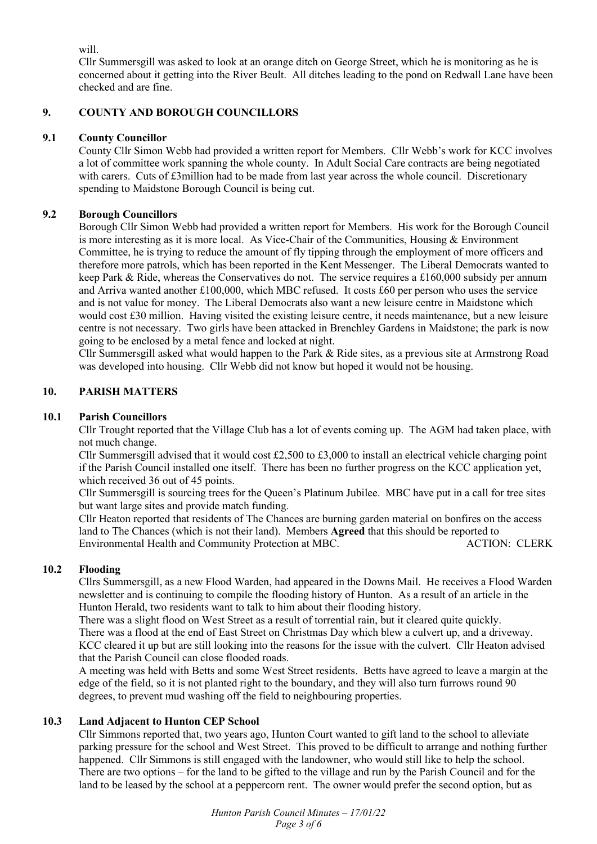will.

Cllr Summersgill was asked to look at an orange ditch on George Street, which he is monitoring as he is concerned about it getting into the River Beult. All ditches leading to the pond on Redwall Lane have been checked and are fine.

# **9. COUNTY AND BOROUGH COUNCILLORS**

# **9.1 County Councillor**

County Cllr Simon Webb had provided a written report for Members. Cllr Webb's work for KCC involves a lot of committee work spanning the whole county. In Adult Social Care contracts are being negotiated with carers. Cuts of £3million had to be made from last year across the whole council. Discretionary spending to Maidstone Borough Council is being cut.

# **9.2 Borough Councillors**

Borough Cllr Simon Webb had provided a written report for Members. His work for the Borough Council is more interesting as it is more local. As Vice-Chair of the Communities, Housing & Environment Committee, he is trying to reduce the amount of fly tipping through the employment of more officers and therefore more patrols, which has been reported in the Kent Messenger. The Liberal Democrats wanted to keep Park & Ride, whereas the Conservatives do not. The service requires a £160,000 subsidy per annum and Arriva wanted another £100,000, which MBC refused. It costs £60 per person who uses the service and is not value for money. The Liberal Democrats also want a new leisure centre in Maidstone which would cost £30 million. Having visited the existing leisure centre, it needs maintenance, but a new leisure centre is not necessary. Two girls have been attacked in Brenchley Gardens in Maidstone; the park is now going to be enclosed by a metal fence and locked at night.

Cllr Summersgill asked what would happen to the Park & Ride sites, as a previous site at Armstrong Road was developed into housing. Cllr Webb did not know but hoped it would not be housing.

# **10. PARISH MATTERS**

# **10.1 Parish Councillors**

Cllr Trought reported that the Village Club has a lot of events coming up. The AGM had taken place, with not much change.

Cllr Summersgill advised that it would cost £2,500 to £3,000 to install an electrical vehicle charging point if the Parish Council installed one itself. There has been no further progress on the KCC application yet, which received 36 out of 45 points.

Cllr Summersgill is sourcing trees for the Queen's Platinum Jubilee. MBC have put in a call for tree sites but want large sites and provide match funding.

Cllr Heaton reported that residents of The Chances are burning garden material on bonfires on the access land to The Chances (which is not their land). Members **Agreed** that this should be reported to Environmental Health and Community Protection at MBC.

# **10.2 Flooding**

Cllrs Summersgill, as a new Flood Warden, had appeared in the Downs Mail. He receives a Flood Warden newsletter and is continuing to compile the flooding history of Hunton. As a result of an article in the Hunton Herald, two residents want to talk to him about their flooding history.

There was a slight flood on West Street as a result of torrential rain, but it cleared quite quickly. There was a flood at the end of East Street on Christmas Day which blew a culvert up, and a driveway. KCC cleared it up but are still looking into the reasons for the issue with the culvert. Cllr Heaton advised that the Parish Council can close flooded roads.

A meeting was held with Betts and some West Street residents. Betts have agreed to leave a margin at the edge of the field, so it is not planted right to the boundary, and they will also turn furrows round 90 degrees, to prevent mud washing off the field to neighbouring properties.

# **10.3 Land Adjacent to Hunton CEP School**

Cllr Simmons reported that, two years ago, Hunton Court wanted to gift land to the school to alleviate parking pressure for the school and West Street. This proved to be difficult to arrange and nothing further happened. Cllr Simmons is still engaged with the landowner, who would still like to help the school. There are two options – for the land to be gifted to the village and run by the Parish Council and for the land to be leased by the school at a peppercorn rent. The owner would prefer the second option, but as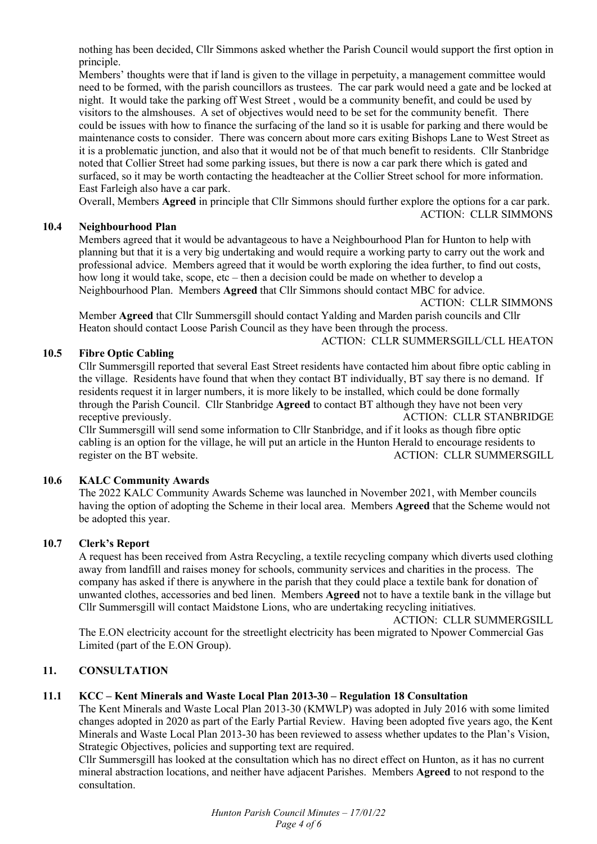nothing has been decided, Cllr Simmons asked whether the Parish Council would support the first option in principle.

Members' thoughts were that if land is given to the village in perpetuity, a management committee would need to be formed, with the parish councillors as trustees. The car park would need a gate and be locked at night. It would take the parking off West Street , would be a community benefit, and could be used by visitors to the almshouses. A set of objectives would need to be set for the community benefit. There could be issues with how to finance the surfacing of the land so it is usable for parking and there would be maintenance costs to consider. There was concern about more cars exiting Bishops Lane to West Street as it is a problematic junction, and also that it would not be of that much benefit to residents. Cllr Stanbridge noted that Collier Street had some parking issues, but there is now a car park there which is gated and surfaced, so it may be worth contacting the headteacher at the Collier Street school for more information. East Farleigh also have a car park.

Overall, Members **Agreed** in principle that Cllr Simmons should further explore the options for a car park. ACTION: CLLR SIMMONS

### **10.4 Neighbourhood Plan**

Members agreed that it would be advantageous to have a Neighbourhood Plan for Hunton to help with planning but that it is a very big undertaking and would require a working party to carry out the work and professional advice. Members agreed that it would be worth exploring the idea further, to find out costs, how long it would take, scope, etc – then a decision could be made on whether to develop a Neighbourhood Plan. Members **Agreed** that Cllr Simmons should contact MBC for advice.

ACTION: CLLR SIMMONS

Member **Agreed** that Cllr Summersgill should contact Yalding and Marden parish councils and Cllr Heaton should contact Loose Parish Council as they have been through the process. ACTION: CLLR SUMMERSGILL/CLL HEATON

### **10.5 Fibre Optic Cabling**

Cllr Summersgill reported that several East Street residents have contacted him about fibre optic cabling in the village. Residents have found that when they contact BT individually, BT say there is no demand. If residents request it in larger numbers, it is more likely to be installed, which could be done formally through the Parish Council. Cllr Stanbridge **Agreed** to contact BT although they have not been very receptive previously. ACTION: CLLR STANBRIDGE

Cllr Summersgill will send some information to Cllr Stanbridge, and if it looks as though fibre optic cabling is an option for the village, he will put an article in the Hunton Herald to encourage residents to register on the BT website. ACTION: CLLR SUMMERSGILL

#### **10.6 KALC Community Awards**

The 2022 KALC Community Awards Scheme was launched in November 2021, with Member councils having the option of adopting the Scheme in their local area. Members **Agreed** that the Scheme would not be adopted this year.

#### **10.7 Clerk's Report**

A request has been received from Astra Recycling, a textile recycling company which diverts used clothing away from landfill and raises money for schools, community services and charities in the process. The company has asked if there is anywhere in the parish that they could place a textile bank for donation of unwanted clothes, accessories and bed linen. Members **Agreed** not to have a textile bank in the village but Cllr Summersgill will contact Maidstone Lions, who are undertaking recycling initiatives.

ACTION: CLLR SUMMERGSILL

The E.ON electricity account for the streetlight electricity has been migrated to Npower Commercial Gas Limited (part of the E.ON Group).

# **11. CONSULTATION**

### **11.1 KCC – Kent Minerals and Waste Local Plan 2013-30 – Regulation 18 Consultation**

The Kent Minerals and Waste Local Plan 2013-30 (KMWLP) was adopted in July 2016 with some limited changes adopted in 2020 as part of the Early Partial Review. Having been adopted five years ago, the Kent Minerals and Waste Local Plan 2013-30 has been reviewed to assess whether updates to the Plan's Vision, Strategic Objectives, policies and supporting text are required.

Cllr Summersgill has looked at the consultation which has no direct effect on Hunton, as it has no current mineral abstraction locations, and neither have adjacent Parishes. Members **Agreed** to not respond to the consultation.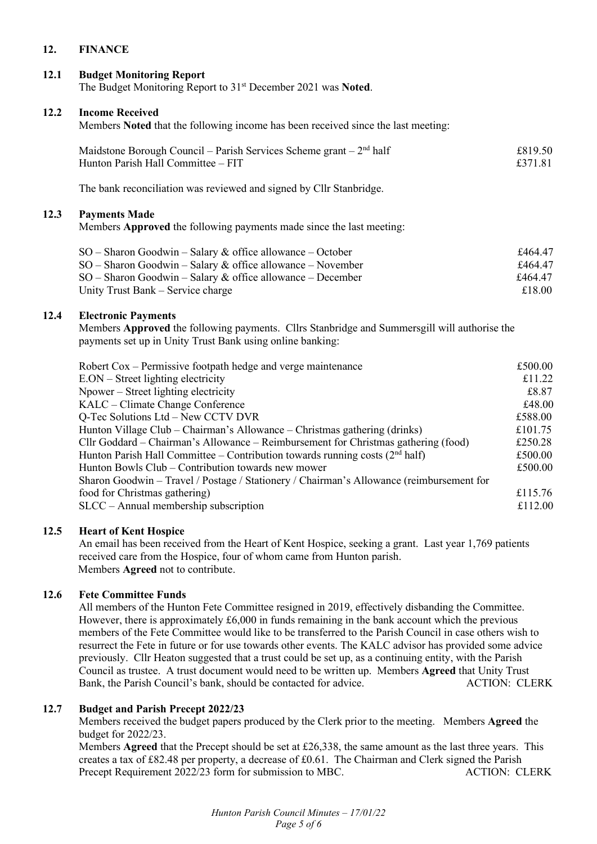# **12. FINANCE**

### **12.1 Budget Monitoring Report**

The Budget Monitoring Report to 31st December 2021 was **Noted**.

#### **12.2 Income Received**

Members **Noted** that the following income has been received since the last meeting:

| Maidstone Borough Council – Parish Services Scheme grant – $2nd$ half | £819.50 |
|-----------------------------------------------------------------------|---------|
| Hunton Parish Hall Committee – FIT                                    | £371.81 |

The bank reconciliation was reviewed and signed by Cllr Stanbridge.

### **12.3 Payments Made**

Members **Approved** the following payments made since the last meeting:

| $SO -$ Sharon Goodwin – Salary & office allowance – October  | £464.47 |
|--------------------------------------------------------------|---------|
| $SO -$ Sharon Goodwin – Salary & office allowance – November | £464.47 |
| $SO -$ Sharon Goodwin – Salary & office allowance – December | £464.47 |
| Unity Trust Bank – Service charge                            | £18.00  |

### **12.4 Electronic Payments**

Members **Approved** the following payments. Cllrs Stanbridge and Summersgill will authorise the payments set up in Unity Trust Bank using online banking:

| Robert Cox – Permissive footpath hedge and verge maintenance                             | £500.00 |
|------------------------------------------------------------------------------------------|---------|
| E.ON – Street lighting electricity                                                       | £11.22  |
| Npower – Street lighting electricity                                                     | £8.87   |
| KALC – Climate Change Conference                                                         | £48.00  |
| Q-Tec Solutions Ltd – New CCTV DVR                                                       | £588.00 |
| Hunton Village Club – Chairman's Allowance – Christmas gathering (drinks)                | £101.75 |
| Cllr Goddard – Chairman's Allowance – Reimbursement for Christmas gathering (food)       | £250.28 |
| Hunton Parish Hall Committee – Contribution towards running costs $(2nd half)$           | £500.00 |
| Hunton Bowls Club – Contribution towards new mower                                       | £500.00 |
| Sharon Goodwin - Travel / Postage / Stationery / Chairman's Allowance (reimbursement for |         |
| food for Christmas gathering)                                                            | £115.76 |
| $SLCC - Annual membership$ subscription                                                  | £112.00 |
|                                                                                          |         |

#### **12.5 Heart of Kent Hospice**

An email has been received from the Heart of Kent Hospice, seeking a grant. Last year 1,769 patients received care from the Hospice, four of whom came from Hunton parish. Members **Agreed** not to contribute.

#### **12.6 Fete Committee Funds**

All members of the Hunton Fete Committee resigned in 2019, effectively disbanding the Committee. However, there is approximately  $\text{\pounds}6,000$  in funds remaining in the bank account which the previous members of the Fete Committee would like to be transferred to the Parish Council in case others wish to resurrect the Fete in future or for use towards other events. The KALC advisor has provided some advice previously. Cllr Heaton suggested that a trust could be set up, as a continuing entity, with the Parish Council as trustee. A trust document would need to be written up. Members **Agreed** that Unity Trust Bank, the Parish Council's bank, should be contacted for advice. ACTION: CLERK

#### **12.7 Budget and Parish Precept 2022/23**

Members received the budget papers produced by the Clerk prior to the meeting. Members **Agreed** the budget for 2022/23.

Members **Agreed** that the Precept should be set at £26,338, the same amount as the last three years. This creates a tax of £82.48 per property, a decrease of £0.61. The Chairman and Clerk signed the Parish Precept Requirement 2022/23 form for submission to MBC. ACTION: CLERK